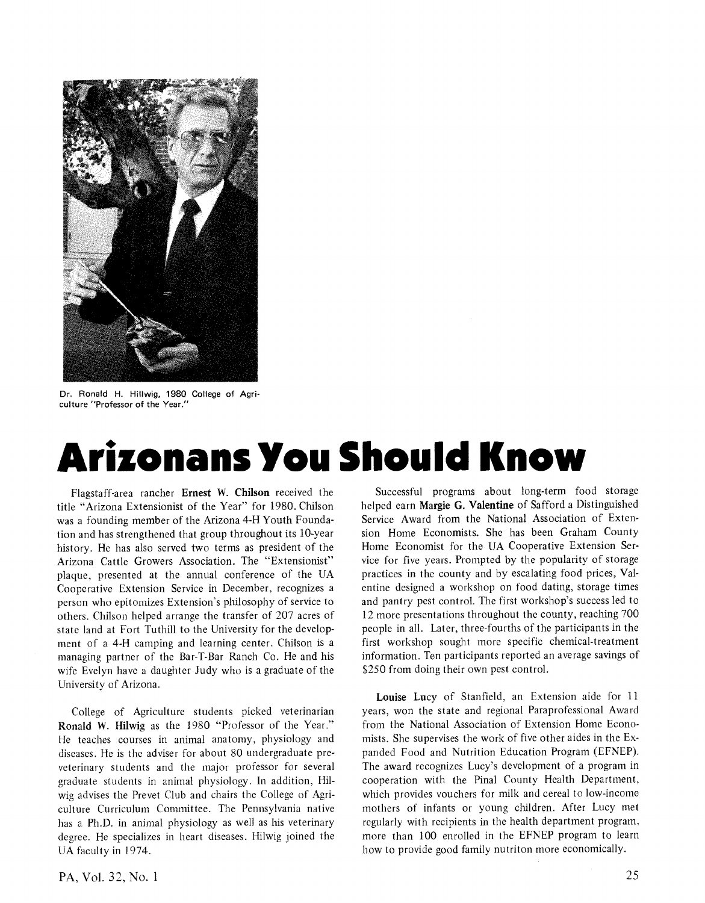

Dr. Ronald H. Hillwig, 1980 College of Agriculture "Professor of the Year."

## Arizonans You Should Know

Flagstaff -area rancher Ernest W. Chilson received the title "Arizona Extensionist of the Year" for 1980. Chilson was a founding member of the Arizona 4 -H Youth Foundation and has strengthened that group throughout its 10 -year history. He has also served two terms as president of the Arizona Cattle Growers Association. The "Extensionist" plaque, presented at the annual conference of the UA Cooperative Extension Service in December, recognizes a person who epitomizes Extension's philosophy of service to others. Chilson helped arrange the transfer of 207 acres of state land at Fort Tuthill to the University for the development of a 4 -H camping and learning center. Chilson is a managing partner of the Bar-T-Bar Ranch Co. He and his wife Evelyn have a daughter Judy who is a graduate of the University of Arizona.

College of Agriculture students picked veterinarian Ronald W. Hilwig as the 1980 "Professor of the Year." He teaches courses in animal anatomy, physiology and diseases. He is the adviser for about 80 undergraduate preveterinary students and the major professor for several graduate students in animal physiology. In addition, Hilwig advises the Prevet Club and chairs the College of Agriculture Curriculum Committee. The Pennsylvania native has a Ph.D. in animal physiology as well as his veterinary degree. He specializes in heart diseases. Hilwig joined the UA faculty in 1974.

Successful programs about long-term food storage helped earn Margie G. Valentine of Safford a Distinguished Service Award from the National Association of Extension Home Economists. She has been Graham County Home Economist for the UA Cooperative Extension Service for five years. Prompted by the popularity of storage practices in the county and by escalating food prices, Valentine designed a workshop on food dating, storage times and pantry pest control. The first workshop's success led to 12 more presentations throughout the county, reaching 700 people in all. Later, three -fourths of the participants in the first workshop sought more specific chemical-treatment information. Ten participants reported an average savings of \$250 from doing their own pest control.

Louise Lucy of Stanfield, an Extension aide for 11 years, won the state and regional Paraprofessional Award from the National Association of Extension Home Economists. She supervises the work of five other aides in the Expanded Food and Nutrition Education Program (EFNEP). The award recognizes Lucy's development of a program in cooperation with the Pinal County Health Department, which provides vouchers for milk and cereal to low-income mothers of infants or young children. After Lucy met regularly with recipients in the health department program, more than 100 enrolled in the EFNEP program to learn how to provide good family nutriton more economically.